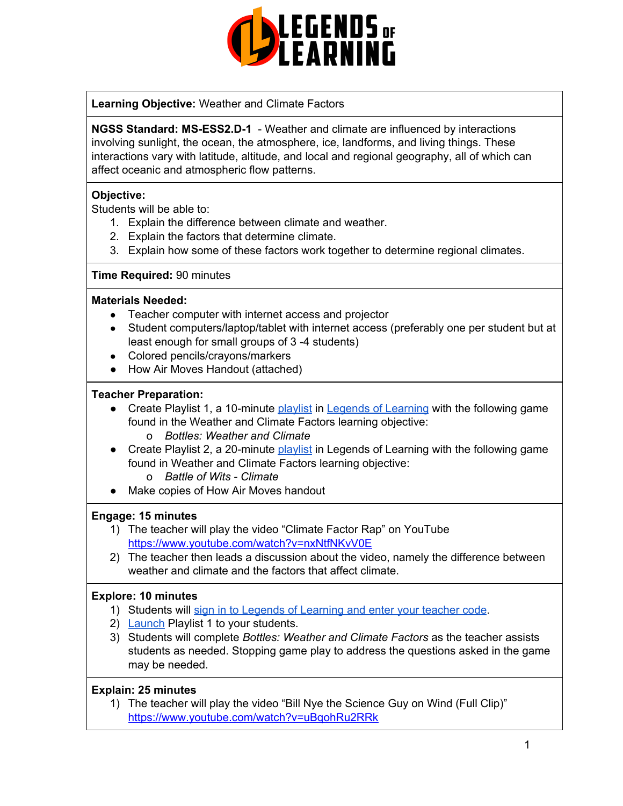

**Learning Objective:** Weather and Climate Factors

**NGSS Standard: MS-ESS2.D-1** - Weather and climate are influenced by interactions involving sunlight, the ocean, the atmosphere, ice, landforms, and living things. These interactions vary with latitude, altitude, and local and regional geography, all of which can affect oceanic and atmospheric flow patterns.

# **Objective:**

Students will be able to:

- 1. Explain the difference between climate and weather.
- 2. Explain the factors that determine climate.
- 3. Explain how some of these factors work together to determine regional climates.

# **Time Required:** 90 minutes

#### **Materials Needed:**

- Teacher computer with internet access and projector
- Student computers/laptop/tablet with internet access (preferably one per student but at least enough for small groups of 3 -4 students)
- Colored pencils/crayons/markers
- How Air Moves Handout (attached)

# **Teacher Preparation:**

- Create Playlist 1, a 10-minute [playlist](https://lol.desk.com/customer/en/portal/articles/2822815-creating-multiple-playlists) in Legends of [Learning](https://teachers.legendsoflearning.com/sign-in) with the following game found in the Weather and Climate Factors learning objective: o *Bottles: Weather and Climate*
- Create Playlist 2, a 20-minute [playlist](https://lol.desk.com/customer/en/portal/articles/2822815-creating-multiple-playlists) in Legends of Learning with the following game found in Weather and Climate Factors learning objective:
	- o *Battle of Wits - Climate*
- Make copies of How Air Moves handout

#### **Engage: 15 minutes**

- 1) The teacher will play the video "Climate Factor Rap" on YouTube <https://www.youtube.com/watch?v=nxNtfNKvV0E>
- 2) The teacher then leads a discussion about the video, namely the difference between weather and climate and the factors that affect climate.

#### **Explore: 10 minutes**

- 1) Students will sign in to Legends of [Learning](https://lol.desk.com/customer/en/portal/articles/2809984-students-joining-a-playlist) and enter your teacher code.
- 2) [Launch](https://lol.desk.com/customer/en/portal/articles/2822815-creating-multiple-playlists) Playlist 1 to your students.
- 3) Students will complete *Bottles: Weather and Climate Factors* as the teacher assists students as needed. Stopping game play to address the questions asked in the game may be needed.

#### **Explain: 25 minutes**

1) The teacher will play the video "Bill Nye the Science Guy on Wind (Full Clip)" <https://www.youtube.com/watch?v=uBqohRu2RRk>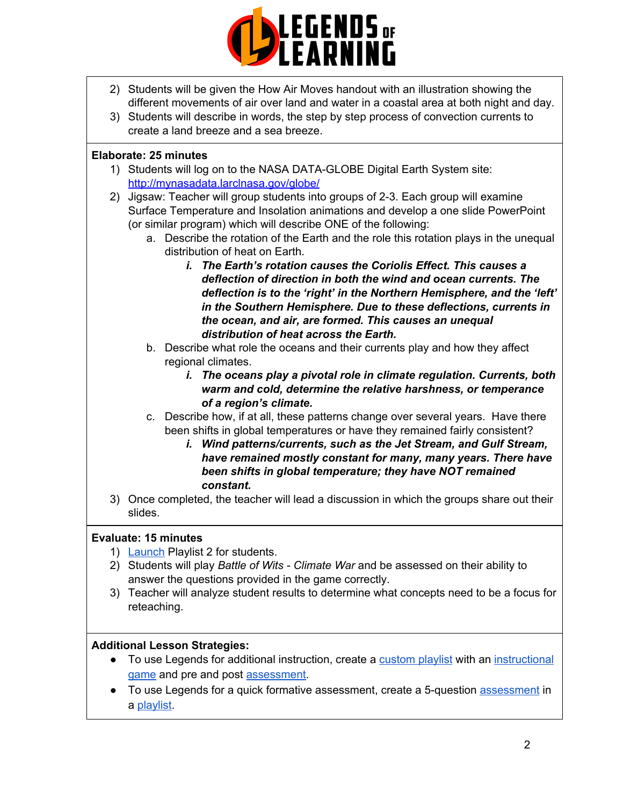

- 2) Students will be given the How Air Moves handout with an illustration showing the different movements of air over land and water in a coastal area at both night and day.
- 3) Students will describe in words, the step by step process of convection currents to create a land breeze and a sea breeze.

### **Elaborate: 25 minutes**

- 1) Students will log on to the NASA DATA-GLOBE Digital Earth System site: [http://mynasadata.larclnasa.gov/globe/](https://mynasadata.larc.nasa.gov/globe/)
- 2) Jigsaw: Teacher will group students into groups of 2-3. Each group will examine Surface Temperature and Insolation animations and develop a one slide PowerPoint (or similar program) which will describe ONE of the following:
	- a. Describe the rotation of the Earth and the role this rotation plays in the unequal distribution of heat on Earth.
		- *i. The Earth's rotation causes the Coriolis Effect. This causes a deflection of direction in both the wind and ocean currents. The deflection is to the 'right' in the Northern Hemisphere, and the 'left' in the Southern Hemisphere. Due to these deflections, currents in the ocean, and air, are formed. This causes an unequal distribution of heat across the Earth.*
	- b. Describe what role the oceans and their currents play and how they affect regional climates.
		- *i. The oceans play a pivotal role in climate regulation. Currents, both warm and cold, determine the relative harshness, or temperance of a region's climate.*
	- c. Describe how, if at all, these patterns change over several years. Have there been shifts in global temperatures or have they remained fairly consistent?
		- *i. Wind patterns/currents, such as the Jet Stream, and Gulf Stream, have remained mostly constant for many, many years. There have been shifts in global temperature; they have NOT remained constant.*
- 3) Once completed, the teacher will lead a discussion in which the groups share out their slides.

#### **Evaluate: 15 minutes**

- 1) [Launch](https://lol.desk.com/customer/en/portal/articles/2822815-creating-multiple-playlists) Playlist 2 for students.
- 2) Students will play *Battle of Wits - Climate War* and be assessed on their ability to answer the questions provided in the game correctly.
- 3) Teacher will analyze student results to determine what concepts need to be a focus for reteaching.

#### **Additional Lesson Strategies:**

- To use Legends for additional instruction, create a [custom](https://intercom.help/legends-of-learning/en/articles/2154910-creating-a-playlist) playlist with an [instructional](https://intercom.help/legends-of-learning/en/articles/3505828-types-of-games) [game](https://intercom.help/legends-of-learning/en/articles/3505828-types-of-games) and pre and post [assessment.](https://intercom.help/legends-of-learning/en/articles/2154913-adding-assessments-to-a-playlist)
- To use Legends for a quick formative [assessment](https://intercom.help/legends-of-learning/en/articles/2154913-adding-assessments-to-a-playlist), create a 5-question assessment in a [playlist.](https://intercom.help/legends-of-learning/en/articles/2154910-creating-a-playlist)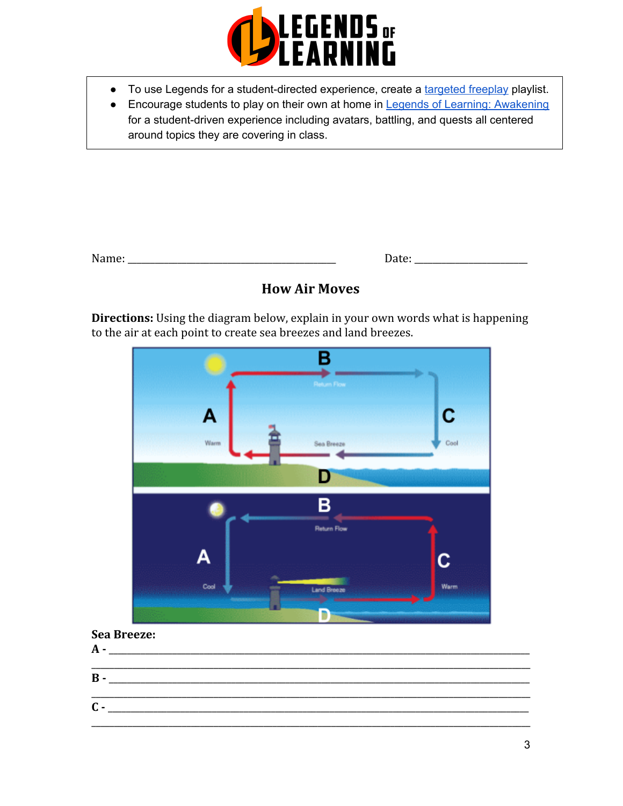

- To use Legends for a student-directed experience, create a [targeted](https://intercom.help/legends-of-learning/en/articles/3340814-targeted-freeplay) freeplay playlist.
- Encourage students to play on their own at home in Legends of Learning: [Awakening](https://intercom.help/legends-of-learning/en/articles/2425490-legends-of-learning-awakening) for a student-driven experience including avatars, battling, and quests all centered around topics they are covering in class.

# **How Air Moves**

**Directions:** Using the diagram below, explain in your own words what is happening to the air at each point to create sea breezes and land breezes.



# **Sea Breeze:**

| $\mathbf{A}$ - |  |
|----------------|--|
|                |  |
| $\mathbf{B}$ - |  |
|                |  |
| $\mathsf{C}$ - |  |
|                |  |